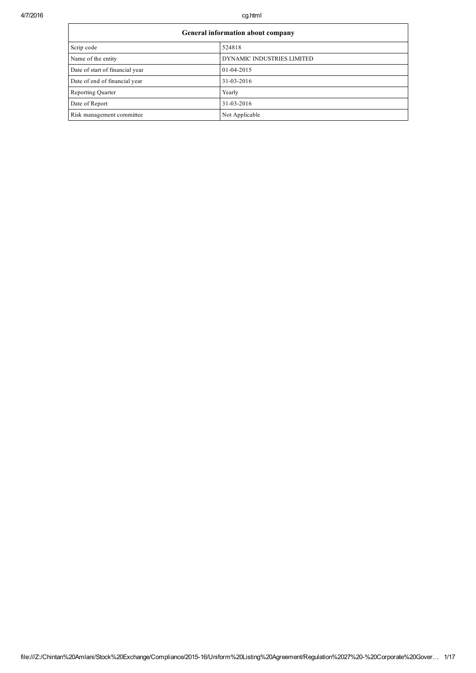| General information about company |                            |  |  |  |  |
|-----------------------------------|----------------------------|--|--|--|--|
| Scrip code                        | 524818                     |  |  |  |  |
| Name of the entity                | DYNAMIC INDUSTRIES LIMITED |  |  |  |  |
| Date of start of financial year   | 01-04-2015                 |  |  |  |  |
| Date of end of financial year     | 31-03-2016                 |  |  |  |  |
| <b>Reporting Quarter</b>          | Yearly                     |  |  |  |  |
| Date of Report                    | 31-03-2016                 |  |  |  |  |
| Risk management committee         | Not Applicable             |  |  |  |  |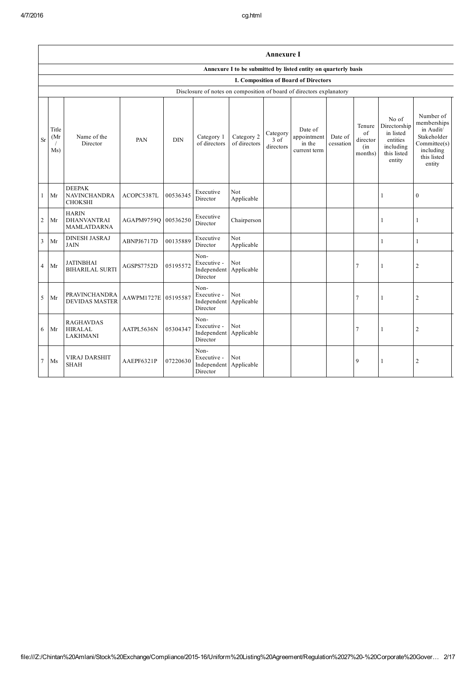|                                                                      | <b>Annexure I</b>    |                                                                |                     |            |                                                |                            |                               |                                                  |                      |                                            |                                                                                      |                                                                                                            |
|----------------------------------------------------------------------|----------------------|----------------------------------------------------------------|---------------------|------------|------------------------------------------------|----------------------------|-------------------------------|--------------------------------------------------|----------------------|--------------------------------------------|--------------------------------------------------------------------------------------|------------------------------------------------------------------------------------------------------------|
|                                                                      |                      | Annexure I to be submitted by listed entity on quarterly basis |                     |            |                                                |                            |                               |                                                  |                      |                                            |                                                                                      |                                                                                                            |
|                                                                      |                      |                                                                |                     |            |                                                |                            |                               | I. Composition of Board of Directors             |                      |                                            |                                                                                      |                                                                                                            |
| Disclosure of notes on composition of board of directors explanatory |                      |                                                                |                     |            |                                                |                            |                               |                                                  |                      |                                            |                                                                                      |                                                                                                            |
| Sr                                                                   | Title<br>(Mr)<br>Ms) | Name of the<br>Director                                        | <b>PAN</b>          | <b>DIN</b> | Category 1<br>of directors                     | Category 2<br>of directors | Category<br>3 of<br>directors | Date of<br>appointment<br>in the<br>current term | Date of<br>cessation | Tenure<br>of<br>director<br>(in<br>months) | No of<br>Directorship<br>in listed<br>entities<br>including<br>this listed<br>entity | Number of<br>memberships<br>in Audit/<br>Stakeholder<br>Committee(s)<br>including<br>this listed<br>entity |
|                                                                      | Mr                   | <b>DEEPAK</b><br><b>NAVINCHANDRA</b><br><b>CHOKSHI</b>         | ACOPC5387L          | 00536345   | Executive<br>Director                          | Not<br>Applicable          |                               |                                                  |                      |                                            | 1                                                                                    | $\mathbf{0}$                                                                                               |
| $\overline{c}$                                                       | Mr                   | <b>HARIN</b><br><b>DHANVANTRAI</b><br><b>MAMLATDARNA</b>       | AGAPM9759O          | 00536250   | Executive<br>Director                          | Chairperson                |                               |                                                  |                      |                                            | 1                                                                                    | 1                                                                                                          |
| 3                                                                    | Mr                   | <b>DINESH JASRAJ</b><br><b>JAIN</b>                            | ABNPJ6717D          | 00135889   | Executive<br>Director                          | Not<br>Applicable          |                               |                                                  |                      |                                            | 1                                                                                    | 1                                                                                                          |
| $\overline{4}$                                                       | Mr                   | <b>JATINBHAI</b><br><b>BIHARILAL SURTI</b>                     | AGSPS7752D          | 05195572   | Non-<br>Executive -<br>Independent<br>Director | Not<br>Applicable          |                               |                                                  |                      | $\overline{7}$                             | 1                                                                                    | $\overline{c}$                                                                                             |
| 5                                                                    | Mr                   | <b>PRAVINCHANDRA</b><br><b>DEVIDAS MASTER</b>                  | AAWPM1727E 05195587 |            | Non-<br>Executive -<br>Independent<br>Director | Not<br>Applicable          |                               |                                                  |                      | $\overline{7}$                             | $\mathbf{1}$                                                                         | $\overline{c}$                                                                                             |
| 6                                                                    | Mr                   | <b>RAGHAVDAS</b><br><b>HIRALAL</b><br><b>LAKHMANI</b>          | AATPL5636N          | 05304347   | Non-<br>Executive -<br>Independent<br>Director | Not<br>Applicable          |                               |                                                  |                      | $\overline{7}$                             | 1                                                                                    | $\overline{c}$                                                                                             |
| $\tau$                                                               | Ms                   | <b>VIRAJ DARSHIT</b><br><b>SHAH</b>                            | AAEPF6321P          | 07220630   | Non-<br>Executive -<br>Independent<br>Director | Not<br>Applicable          |                               |                                                  |                      | 9                                          | 1                                                                                    | $\overline{c}$                                                                                             |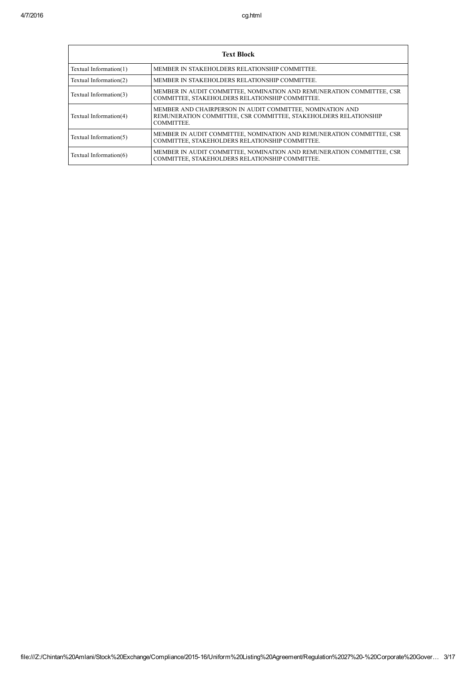|                           | <b>Text Block</b>                                                                                                                                 |  |  |  |  |  |  |
|---------------------------|---------------------------------------------------------------------------------------------------------------------------------------------------|--|--|--|--|--|--|
| Textual Information $(1)$ | MEMBER IN STAKEHOLDERS RELATIONSHIP COMMITTEE.                                                                                                    |  |  |  |  |  |  |
| Textual Information(2)    | MEMBER IN STAKEHOLDERS RELATIONSHIP COMMITTEE.                                                                                                    |  |  |  |  |  |  |
| Textual Information(3)    | MEMBER IN AUDIT COMMITTEE, NOMINATION AND REMUNERATION COMMITTEE, CSR<br>COMMITTEE, STAKEHOLDERS RELATIONSHIP COMMITTEE.                          |  |  |  |  |  |  |
| Textual Information(4)    | MEMBER AND CHAIRPERSON IN AUDIT COMMITTEE, NOMINATION AND<br>REMUNERATION COMMITTEE, CSR COMMITTEE, STAKEHOLDERS RELATIONSHIP<br><b>COMMITTEE</b> |  |  |  |  |  |  |
| Textual Information(5)    | MEMBER IN AUDIT COMMITTEE, NOMINATION AND REMUNERATION COMMITTEE, CSR<br>COMMITTEE, STAKEHOLDERS RELATIONSHIP COMMITTEE.                          |  |  |  |  |  |  |
| Textual Information $(6)$ | MEMBER IN AUDIT COMMITTEE, NOMINATION AND REMUNERATION COMMITTEE, CSR<br>COMMITTEE, STAKEHOLDERS RELATIONSHIP COMMITTEE.                          |  |  |  |  |  |  |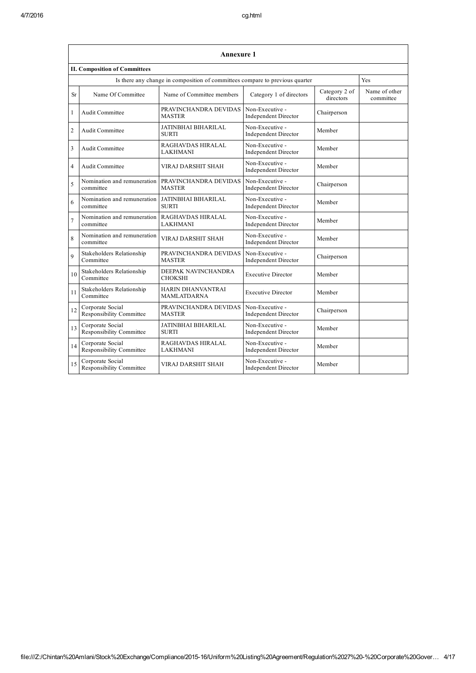|                | Annexure 1                                          |                                                                              |                                                |                            |                            |  |  |  |  |  |  |
|----------------|-----------------------------------------------------|------------------------------------------------------------------------------|------------------------------------------------|----------------------------|----------------------------|--|--|--|--|--|--|
|                | <b>II. Composition of Committees</b>                |                                                                              |                                                |                            |                            |  |  |  |  |  |  |
|                |                                                     | Is there any change in composition of committees compare to previous quarter |                                                |                            | <b>Yes</b>                 |  |  |  |  |  |  |
| <b>Sr</b>      | Name Of Committee                                   | Name of Committee members                                                    | Category 1 of directors                        | Category 2 of<br>directors | Name of other<br>committee |  |  |  |  |  |  |
| 1              | <b>Audit Committee</b>                              | PRAVINCHANDRA DEVIDAS<br><b>MASTER</b>                                       | Non-Executive -<br><b>Independent Director</b> | Chairperson                |                            |  |  |  |  |  |  |
| $\overline{c}$ | <b>Audit Committee</b>                              | JATINBHAI BIHARILAL<br><b>SURTI</b>                                          | Non-Executive -<br><b>Independent Director</b> | Member                     |                            |  |  |  |  |  |  |
| 3              | <b>Audit Committee</b>                              | RAGHAVDAS HIRALAL<br><b>LAKHMANI</b>                                         | Non-Executive -<br><b>Independent Director</b> | Member                     |                            |  |  |  |  |  |  |
| 4              | <b>Audit Committee</b>                              | VIRAJ DARSHIT SHAH                                                           | Non-Executive -<br><b>Independent Director</b> | Member                     |                            |  |  |  |  |  |  |
| 5              | Nomination and remuneration<br>committee            | PRAVINCHANDRA DEVIDAS<br><b>MASTER</b>                                       | Non-Executive -<br><b>Independent Director</b> | Chairperson                |                            |  |  |  |  |  |  |
| 6              | Nomination and remuneration<br>committee            | <b>JATINBHAI BIHARILAL</b><br><b>SURTI</b>                                   | Non-Executive -<br><b>Independent Director</b> | Member                     |                            |  |  |  |  |  |  |
| $\overline{7}$ | Nomination and remuneration<br>committee            | RAGHAVDAS HIRALAL<br><b>LAKHMANI</b>                                         | Non-Executive -<br><b>Independent Director</b> | Member                     |                            |  |  |  |  |  |  |
| 8              | Nomination and remuneration<br>committee            | <b>VIRAJ DARSHIT SHAH</b>                                                    | Non-Executive -<br><b>Independent Director</b> | Member                     |                            |  |  |  |  |  |  |
| 9              | Stakeholders Relationship<br>Committee              | PRAVINCHANDRA DEVIDAS<br><b>MASTER</b>                                       | Non-Executive -<br><b>Independent Director</b> | Chairperson                |                            |  |  |  |  |  |  |
| 10             | Stakeholders Relationship<br>Committee              | DEEPAK NAVINCHANDRA<br><b>CHOKSHI</b>                                        | <b>Executive Director</b>                      | Member                     |                            |  |  |  |  |  |  |
| 11             | Stakeholders Relationship<br>Committee              | HARIN DHANVANTRAI<br><b>MAMLATDARNA</b>                                      | <b>Executive Director</b>                      | Member                     |                            |  |  |  |  |  |  |
| 12             | Corporate Social<br>Responsibility Committee        | PRAVINCHANDRA DEVIDAS<br><b>MASTER</b>                                       | Non-Executive -<br><b>Independent Director</b> | Chairperson                |                            |  |  |  |  |  |  |
| 13             | Corporate Social<br>Responsibility Committee        | <b>JATINBHAI BIHARILAL</b><br><b>SURTI</b>                                   | Non-Executive -<br><b>Independent Director</b> | Member                     |                            |  |  |  |  |  |  |
| 14             | Corporate Social<br>Responsibility Committee        | RAGHAVDAS HIRALAL<br>LAKHMANI                                                | Non-Executive -<br><b>Independent Director</b> | Member                     |                            |  |  |  |  |  |  |
| 15             | Corporate Social<br><b>Responsibility Committee</b> | <b>VIRAJ DARSHIT SHAH</b>                                                    | Non-Executive -<br><b>Independent Director</b> | Member                     |                            |  |  |  |  |  |  |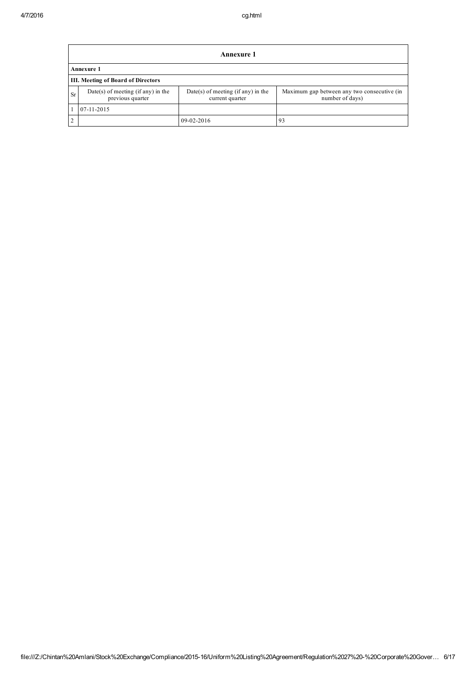|           | Annexure 1                                             |                                                         |                                                                |  |  |  |  |  |  |  |
|-----------|--------------------------------------------------------|---------------------------------------------------------|----------------------------------------------------------------|--|--|--|--|--|--|--|
|           | Annexure 1                                             |                                                         |                                                                |  |  |  |  |  |  |  |
|           | <b>III. Meeting of Board of Directors</b>              |                                                         |                                                                |  |  |  |  |  |  |  |
| <b>Sr</b> | Date(s) of meeting (if any) in the<br>previous quarter | $Date(s)$ of meeting (if any) in the<br>current quarter | Maximum gap between any two consecutive (in<br>number of days) |  |  |  |  |  |  |  |
|           | $07-11-2015$                                           |                                                         |                                                                |  |  |  |  |  |  |  |
| $\bigcap$ |                                                        | $09-02-2016$                                            | 93                                                             |  |  |  |  |  |  |  |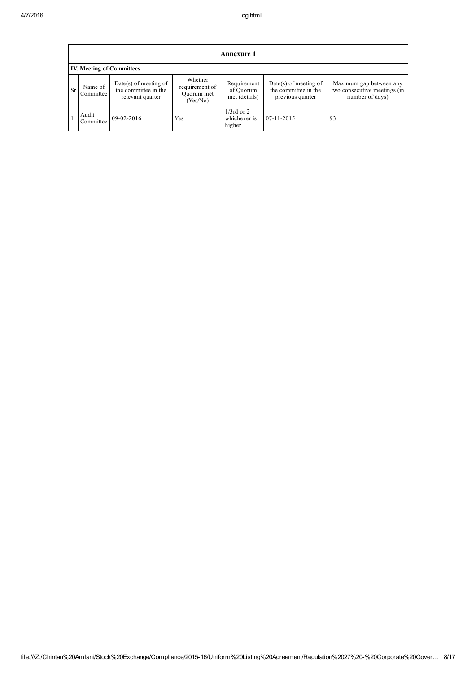|           | <b>Annexure 1</b>                |                                                                     |                                                     |                                           |                                                                   |                                                                            |  |  |  |  |
|-----------|----------------------------------|---------------------------------------------------------------------|-----------------------------------------------------|-------------------------------------------|-------------------------------------------------------------------|----------------------------------------------------------------------------|--|--|--|--|
|           | <b>IV. Meeting of Committees</b> |                                                                     |                                                     |                                           |                                                                   |                                                                            |  |  |  |  |
| <b>Sr</b> | Name of<br>Committee             | $Date(s)$ of meeting of<br>the committee in the<br>relevant quarter | Whether<br>requirement of<br>Quorum met<br>(Yes/No) | Requirement<br>of Quorum<br>met (details) | Date(s) of meeting of<br>the committee in the<br>previous quarter | Maximum gap between any<br>two consecutive meetings (in<br>number of days) |  |  |  |  |
|           | Audit<br>09-02-2016<br>Committee |                                                                     | Yes                                                 | $1/3$ rd or 2<br>whichever is<br>higher   | 07-11-2015                                                        | 93                                                                         |  |  |  |  |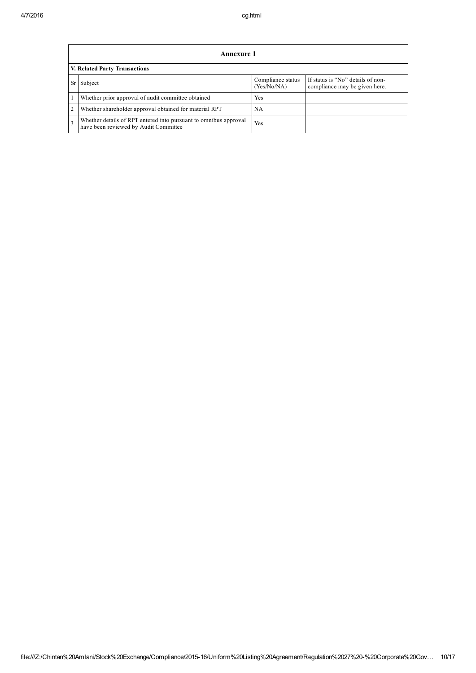|   | <b>Annexure 1</b>                                                                                         |                                  |                                                                    |  |  |  |  |  |  |  |  |
|---|-----------------------------------------------------------------------------------------------------------|----------------------------------|--------------------------------------------------------------------|--|--|--|--|--|--|--|--|
|   | V. Related Party Transactions                                                                             |                                  |                                                                    |  |  |  |  |  |  |  |  |
|   | Subject                                                                                                   | Compliance status<br>(Yes/No/NA) | If status is "No" details of non-<br>compliance may be given here. |  |  |  |  |  |  |  |  |
|   | Whether prior approval of audit committee obtained                                                        | Yes                              |                                                                    |  |  |  |  |  |  |  |  |
| 2 | Whether shareholder approval obtained for material RPT                                                    | NA                               |                                                                    |  |  |  |  |  |  |  |  |
|   | Whether details of RPT entered into pursuant to omnibus approval<br>have been reviewed by Audit Committee | Yes                              |                                                                    |  |  |  |  |  |  |  |  |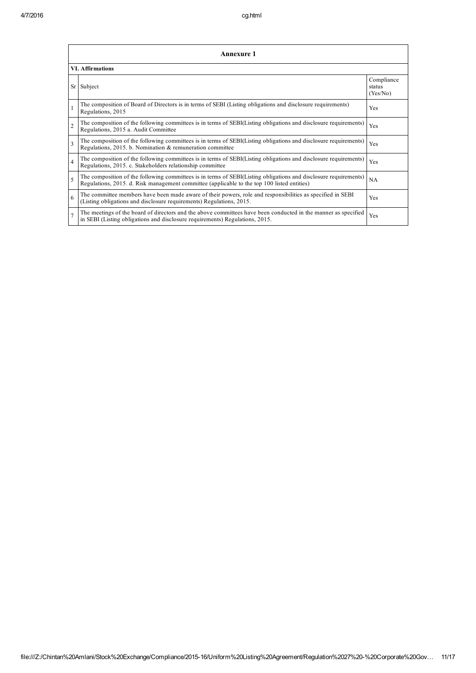|                          | Annexure 1                                                                                                                                                                                                      |                                  |  |  |  |  |  |  |
|--------------------------|-----------------------------------------------------------------------------------------------------------------------------------------------------------------------------------------------------------------|----------------------------------|--|--|--|--|--|--|
| <b>VI. Affirmations</b>  |                                                                                                                                                                                                                 |                                  |  |  |  |  |  |  |
| Sr                       | Subject                                                                                                                                                                                                         | Compliance<br>status<br>(Yes/No) |  |  |  |  |  |  |
|                          | The composition of Board of Directors is in terms of SEBI (Listing obligations and disclosure requirements)<br>Regulations, 2015                                                                                | Yes                              |  |  |  |  |  |  |
| $\overline{2}$           | The composition of the following committees is in terms of SEBI(Listing obligations and disclosure requirements)<br>Regulations, 2015 a. Audit Committee                                                        | Yes                              |  |  |  |  |  |  |
| $\overline{\mathbf{3}}$  | The composition of the following committees is in terms of SEBI(Listing obligations and disclosure requirements)<br>Regulations, 2015. b. Nomination & remuneration committee                                   | Yes                              |  |  |  |  |  |  |
| $\overline{4}$           | The composition of the following committees is in terms of SEBI(Listing obligations and disclosure requirements)<br>Regulations, 2015. c. Stakeholders relationship committee                                   | Yes                              |  |  |  |  |  |  |
| $\overline{\phantom{0}}$ | The composition of the following committees is in terms of SEBI(Listing obligations and disclosure requirements)<br>Regulations, 2015. d. Risk management committee (applicable to the top 100 listed entities) | NA                               |  |  |  |  |  |  |
| 6                        | The committee members have been made aware of their powers, role and responsibilities as specified in SEBI<br>(Listing obligations and disclosure requirements) Regulations, 2015.                              | Yes                              |  |  |  |  |  |  |
|                          | The meetings of the board of directors and the above committees have been conducted in the manner as specified<br>in SEBI (Listing obligations and disclosure requirements) Regulations, 2015.                  | Yes                              |  |  |  |  |  |  |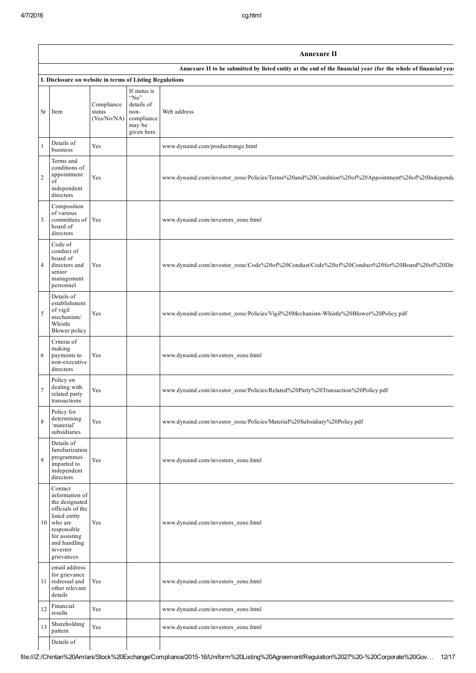| <b>Annexure II</b> |                                                                                                                                                                       |                                     |                                                                           |                                                                                                                |  |  |  |  |  |  |
|--------------------|-----------------------------------------------------------------------------------------------------------------------------------------------------------------------|-------------------------------------|---------------------------------------------------------------------------|----------------------------------------------------------------------------------------------------------------|--|--|--|--|--|--|
|                    |                                                                                                                                                                       |                                     |                                                                           | Annexure II to be submitted by listed entity at the end of the financial year (for the whole of financial year |  |  |  |  |  |  |
|                    | I. Disclosure on website in terms of Listing Regulations                                                                                                              |                                     | If status is                                                              |                                                                                                                |  |  |  |  |  |  |
|                    | Sr Item                                                                                                                                                               | Compliance<br>status<br>(Yes/No/NA) | $\alpha$ No"<br>details of<br>non-<br>compliance<br>may be<br>given here. | Web address                                                                                                    |  |  |  |  |  |  |
|                    | Details of<br>business                                                                                                                                                | Yes                                 |                                                                           | www.dynaind.com/productrange.html                                                                              |  |  |  |  |  |  |
| $\overline{c}$     | Terms and<br>conditions of<br>appointment<br>of<br>independent<br>directors                                                                                           | Yes                                 |                                                                           | www.dynaind.com/investor_zone/Policies/Terms%20and%20Condition%20of%20Appointment%20of%20Independe             |  |  |  |  |  |  |
| 3                  | Composition<br>of various<br>committees of<br>board of<br>directors                                                                                                   | Yes                                 |                                                                           | www.dynaind.com/investors_zone.html                                                                            |  |  |  |  |  |  |
| $\overline{4}$     | Code of<br>conduct of<br>board of<br>directors and<br>senior<br>management<br>personnel                                                                               | Yes                                 |                                                                           | www.dynaind.com/investor_zone/Code%20of%20Condust/Code%20of%20Conduct%20for%20Board%20of%20Dir                 |  |  |  |  |  |  |
| $\sqrt{5}$         | Details of<br>establishment<br>of vigil<br>mechanism/<br>Whistle<br>Blower policy                                                                                     | Yes                                 |                                                                           | www.dynaind.com/investor_zone/Policies/Vigil%20Mechanism-Whistle%20Blower%20Policy.pdf                         |  |  |  |  |  |  |
| 6                  | Criteria of<br>making<br>payments to<br>non-executive<br>directors                                                                                                    | Yes                                 |                                                                           | www.dynaind.com/investors_zone.html                                                                            |  |  |  |  |  |  |
| $\overline{7}$     | Policy on<br>dealing with<br>related party<br>transactions                                                                                                            | Yes                                 |                                                                           | www.dynaind.com/investor_zone/Policies/Related%20Party%20Transaction%20Policy.pdf                              |  |  |  |  |  |  |
| 8                  | Policy for<br>determining<br>'material'<br>subsidiaries                                                                                                               | Yes                                 |                                                                           | www.dynaind.com/investor_zone/Policies/Material%20Subsidiary%20Policy.pdf                                      |  |  |  |  |  |  |
| 9                  | Details of<br>familiarization<br>programmes<br>imparted to<br>independent<br>directors                                                                                | Yes                                 |                                                                           | www.dynaind.com/investors_zone.html                                                                            |  |  |  |  |  |  |
| 10                 | Contact<br>information of<br>the designated<br>officials of the<br>listed entity<br>who are<br>responsible<br>for assisting<br>and handling<br>investor<br>grievances | Yes                                 |                                                                           | www.dynaind.com/investors_zone.html                                                                            |  |  |  |  |  |  |
|                    | email address<br>for grievance<br>11 redressal and<br>other relevant<br>details                                                                                       | Yes                                 |                                                                           | www.dynaind.com/investors_zone.html                                                                            |  |  |  |  |  |  |
| 12                 | Financial<br>results                                                                                                                                                  | Yes                                 |                                                                           | www.dynaind.com/investors_zone.html                                                                            |  |  |  |  |  |  |
| 13                 | Shareholding<br>pattern                                                                                                                                               | Yes                                 |                                                                           | www.dynaind.com/investors_zone.html                                                                            |  |  |  |  |  |  |
|                    | Details of                                                                                                                                                            |                                     |                                                                           |                                                                                                                |  |  |  |  |  |  |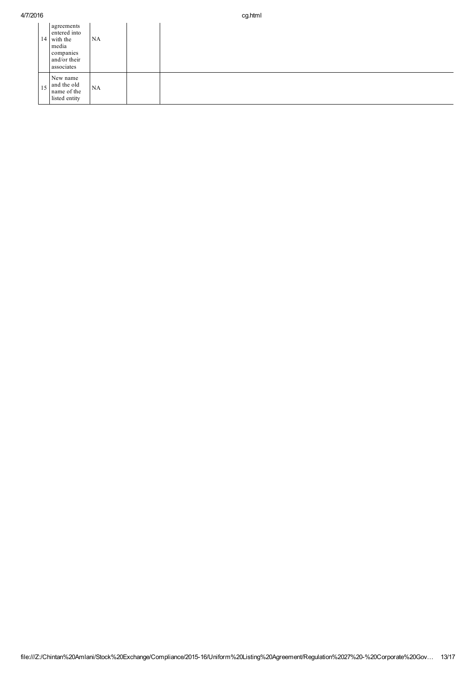|                 | agreements<br>entered into<br>14 with the<br>media<br>companies<br>and/or their<br>associates | <b>NA</b> |  |
|-----------------|-----------------------------------------------------------------------------------------------|-----------|--|
| 15 <sup>1</sup> | New name<br>and the old<br>name of the<br>listed entity                                       | NA        |  |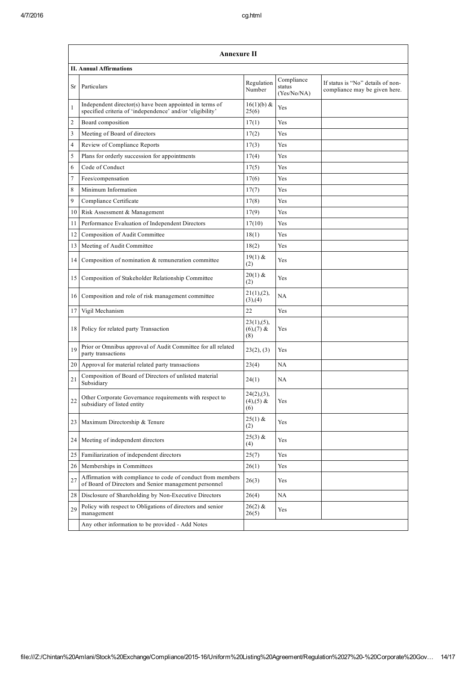|                 | Annexure II                                                                                                          |                                       |                                     |                                                                    |
|-----------------|----------------------------------------------------------------------------------------------------------------------|---------------------------------------|-------------------------------------|--------------------------------------------------------------------|
|                 | <b>II. Annual Affirmations</b>                                                                                       |                                       |                                     |                                                                    |
| Sr              | Particulars                                                                                                          | Regulation<br>Number                  | Compliance<br>status<br>(Yes/No/NA) | If status is "No" details of non-<br>compliance may be given here. |
|                 | Independent director(s) have been appointed in terms of<br>specified criteria of 'independence' and/or 'eligibility' | $16(1)(b)$ &<br>25(6)                 | Yes                                 |                                                                    |
| $\overline{c}$  | Board composition                                                                                                    | 17(1)                                 | Yes                                 |                                                                    |
| 3               | Meeting of Board of directors                                                                                        | 17(2)                                 | Yes                                 |                                                                    |
| 4               | Review of Compliance Reports                                                                                         | 17(3)                                 | Yes                                 |                                                                    |
| 5               | Plans for orderly succession for appointments                                                                        | 17(4)                                 | Yes                                 |                                                                    |
| 6               | Code of Conduct                                                                                                      | 17(5)                                 | Yes                                 |                                                                    |
| 7               | Fees/compensation                                                                                                    | 17(6)                                 | Yes                                 |                                                                    |
| 8               | Minimum Information                                                                                                  | 17(7)                                 | Yes                                 |                                                                    |
| 9               | Compliance Certificate                                                                                               | 17(8)                                 | Yes                                 |                                                                    |
| 10              | Risk Assessment & Management                                                                                         | 17(9)                                 | Yes                                 |                                                                    |
| 11              | Performance Evaluation of Independent Directors                                                                      | 17(10)                                | Yes                                 |                                                                    |
| 12              | Composition of Audit Committee                                                                                       | 18(1)                                 | Yes                                 |                                                                    |
| 13              | Meeting of Audit Committee                                                                                           | 18(2)                                 | Yes                                 |                                                                    |
| 14              | Composition of nomination & remuneration committee                                                                   | $19(1)$ &<br>(2)                      | Yes                                 |                                                                    |
| 15 <sup>1</sup> | Composition of Stakeholder Relationship Committee                                                                    | $20(1)$ &<br>(2)                      | Yes                                 |                                                                    |
| 16              | Composition and role of risk management committee                                                                    | 21(1),(2),<br>(3), (4)                | NA                                  |                                                                    |
| 17              | Vigil Mechanism                                                                                                      | 22                                    | Yes                                 |                                                                    |
| 18              | Policy for related party Transaction                                                                                 | $23(1), (5)$ ,<br>$(6)(7)$ &<br>(8)   | Yes                                 |                                                                    |
| 19              | Prior or Omnibus approval of Audit Committee for all related<br>party transactions                                   | 23(2), (3)                            | Yes                                 |                                                                    |
| 20              | Approval for material related party transactions                                                                     | 23(4)                                 | NA                                  |                                                                    |
| 21              | Composition of Board of Directors of unlisted material<br>Subsidiary                                                 | 24(1)                                 | NA                                  |                                                                    |
|                 | Other Corporate Governance requirements with respect to<br>subsidiary of listed entity                               | 24(2), (3),<br>$(4)$ , $(5)$ &<br>(6) | Yes                                 |                                                                    |
| 23              | Maximum Directorship & Tenure                                                                                        | $25(1)$ &<br>(2)                      | Yes                                 |                                                                    |
| 24              | Meeting of independent directors                                                                                     | $25(3)$ &<br>(4)                      | Yes                                 |                                                                    |
| 25              | Familiarization of independent directors                                                                             | 25(7)                                 | Yes                                 |                                                                    |
| 26              | Memberships in Committees                                                                                            | 26(1)                                 | Yes                                 |                                                                    |
| 27              | Affirmation with compliance to code of conduct from members<br>of Board of Directors and Senior management personnel | 26(3)                                 | Yes                                 |                                                                    |
| 28              | Disclosure of Shareholding by Non-Executive Directors                                                                | 26(4)                                 | NA                                  |                                                                    |
| 29              | Policy with respect to Obligations of directors and senior<br>management                                             | $26(2)$ &<br>26(5)                    | Yes                                 |                                                                    |
|                 | Any other information to be provided - Add Notes                                                                     |                                       |                                     |                                                                    |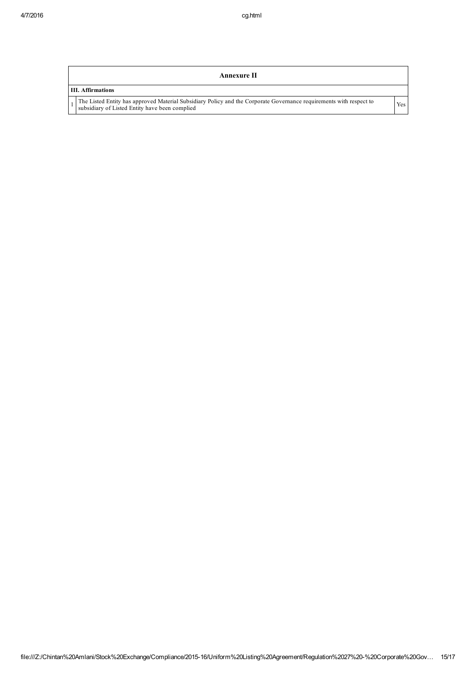| Annexure II                                                                                                                                                           |            |  |  |  |  |  |  |
|-----------------------------------------------------------------------------------------------------------------------------------------------------------------------|------------|--|--|--|--|--|--|
| <b>III.</b> Affirmations                                                                                                                                              |            |  |  |  |  |  |  |
| The Listed Entity has approved Material Subsidiary Policy and the Corporate Governance requirements with respect to<br>subsidiary of Listed Entity have been complied | <b>Yes</b> |  |  |  |  |  |  |

 $\overline{\phantom{a}}$ 

 $\mathbf{r}$